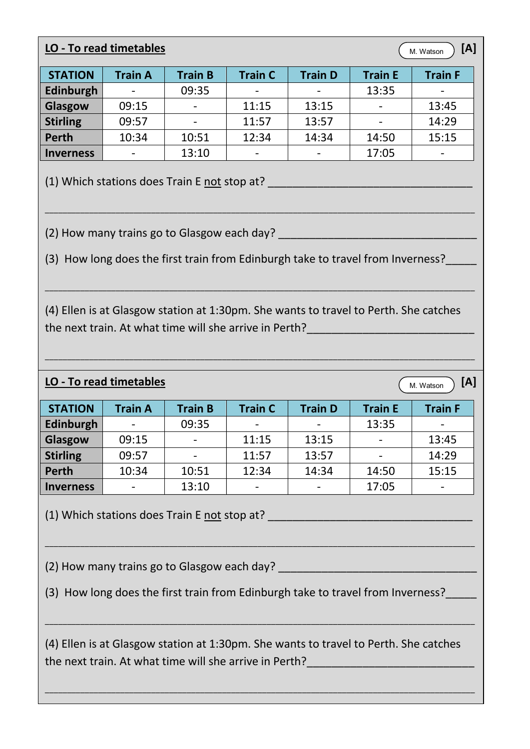## **LO - To read timetables**  $\begin{pmatrix} 1 & 0 \\ 0 & \text{Watson} \end{pmatrix}$  [A]

M. Watson

| <b>STATION</b>   | <b>Train A</b> | <b>Train B</b>           | <b>Train C</b> | <b>Train D</b> | <b>Train E</b>           | <b>Train F</b> |
|------------------|----------------|--------------------------|----------------|----------------|--------------------------|----------------|
| Edinburgh        |                | 09:35                    |                |                | 13:35                    |                |
| Glasgow          | 09:15          | $\overline{\phantom{a}}$ | 11:15          | 13:15          | $\overline{\phantom{a}}$ | 13:45          |
| <b>Stirling</b>  | 09:57          | $\overline{\phantom{a}}$ | 11:57          | 13:57          | $\overline{\phantom{a}}$ | 14:29          |
| <b>Perth</b>     | 10:34          | 10:51                    | 12:34          | 14:34          | 14:50                    | 15:15          |
| <b>Inverness</b> |                | 13:10                    |                |                | 17:05                    |                |

\_\_\_\_\_\_\_\_\_\_\_\_\_\_\_\_\_\_\_\_\_\_\_\_\_\_\_\_\_\_\_\_\_\_\_\_\_\_\_\_\_\_\_\_\_\_\_\_\_\_\_\_\_\_\_\_\_\_\_\_\_\_\_\_\_\_\_\_\_\_\_\_\_\_\_\_\_\_\_\_\_\_\_\_\_\_\_\_\_\_\_\_\_\_\_\_\_

(1) Which stations does Train E not stop at? \_\_\_\_\_\_\_\_\_\_\_\_\_\_\_\_\_\_\_\_\_\_\_\_\_\_\_\_\_\_\_\_\_

(2) How many trains go to Glasgow each day?

(3) How long does the first train from Edinburgh take to travel from Inverness?

(4) Ellen is at Glasgow station at 1:30pm. She wants to travel to Perth. She catches the next train. At what time will she arrive in Perth?

\_\_\_\_\_\_\_\_\_\_\_\_\_\_\_\_\_\_\_\_\_\_\_\_\_\_\_\_\_\_\_\_\_\_\_\_\_\_\_\_\_\_\_\_\_\_\_\_\_\_\_\_\_\_\_\_\_\_\_\_\_\_\_\_\_\_\_\_\_\_\_\_\_\_\_\_\_\_\_\_\_\_\_\_\_\_\_\_\_\_\_\_\_\_\_\_\_

\_\_\_\_\_\_\_\_\_\_\_\_\_\_\_\_\_\_\_\_\_\_\_\_\_\_\_\_\_\_\_\_\_\_\_\_\_\_\_\_\_\_\_\_\_\_\_\_\_\_\_\_\_\_\_\_\_\_\_\_\_\_\_\_\_\_\_\_\_\_\_\_\_\_\_\_\_\_\_\_\_\_\_\_\_\_\_\_\_\_\_\_\_\_\_\_\_

## **LO - To read timetables**  $\overline{\phantom{a}}$  [A]

M. Watson

| <b>STATION</b>   | <b>Train A</b> | <b>Train B</b>           | <b>Train C</b> | <b>Train D</b> | <b>Train E</b> | <b>Train F</b> |
|------------------|----------------|--------------------------|----------------|----------------|----------------|----------------|
|                  |                |                          |                |                |                |                |
| Edinburgh        |                | 09:35                    |                |                | 13:35          |                |
| Glasgow          | 09:15          | $\overline{\phantom{a}}$ | 11:15          | 13:15          |                | 13:45          |
| <b>Stirling</b>  | 09:57          | -                        | 11:57          | 13:57          |                | 14:29          |
| <b>Perth</b>     | 10:34          | 10:51                    | 12:34          | 14:34          | 14:50          | 15:15          |
| <b>Inverness</b> |                | 13:10                    |                |                | 17:05          |                |

\_\_\_\_\_\_\_\_\_\_\_\_\_\_\_\_\_\_\_\_\_\_\_\_\_\_\_\_\_\_\_\_\_\_\_\_\_\_\_\_\_\_\_\_\_\_\_\_\_\_\_\_\_\_\_\_\_\_\_\_\_\_\_\_\_\_\_\_\_\_\_\_\_\_\_\_\_\_\_\_\_\_\_\_\_\_\_\_\_\_\_\_\_\_\_\_\_

(1) Which stations does Train E not stop at?

(2) How many trains go to Glasgow each day?

(3) How long does the first train from Edinburgh take to travel from Inverness?

(4) Ellen is at Glasgow station at 1:30pm. She wants to travel to Perth. She catches the next train. At what time will she arrive in Perth?

\_\_\_\_\_\_\_\_\_\_\_\_\_\_\_\_\_\_\_\_\_\_\_\_\_\_\_\_\_\_\_\_\_\_\_\_\_\_\_\_\_\_\_\_\_\_\_\_\_\_\_\_\_\_\_\_\_\_\_\_\_\_\_\_\_\_\_\_\_\_\_\_\_\_\_\_\_\_\_\_\_\_\_\_\_\_\_\_\_\_\_\_\_\_\_\_\_

\_\_\_\_\_\_\_\_\_\_\_\_\_\_\_\_\_\_\_\_\_\_\_\_\_\_\_\_\_\_\_\_\_\_\_\_\_\_\_\_\_\_\_\_\_\_\_\_\_\_\_\_\_\_\_\_\_\_\_\_\_\_\_\_\_\_\_\_\_\_\_\_\_\_\_\_\_\_\_\_\_\_\_\_\_\_\_\_\_\_\_\_\_\_\_\_\_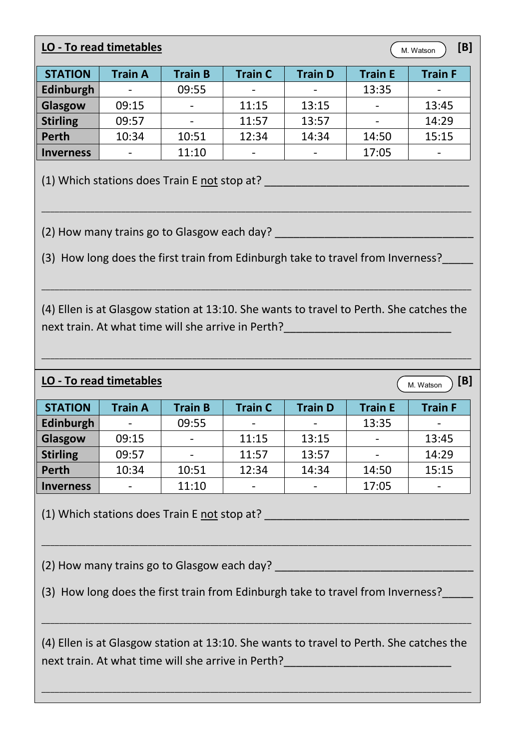## **LO - To read timetables** [B] *B CM Watson***</sub> [B]**

M. Watson

| <b>STATION</b>   | <b>Train A</b>           | <b>Train B</b>           | <b>Train C</b>           | <b>Train D</b> | <b>Train E</b>           | <b>Train F</b>           |
|------------------|--------------------------|--------------------------|--------------------------|----------------|--------------------------|--------------------------|
| Edinburgh        | $\overline{\phantom{0}}$ | 09:55                    | $\overline{\phantom{0}}$ |                | 13:35                    | $\overline{\phantom{a}}$ |
| Glasgow          | 09:15                    | $\overline{\phantom{a}}$ | 11:15                    | 13:15          | $\overline{\phantom{a}}$ | 13:45                    |
| <b>Stirling</b>  | 09:57                    | $\overline{\phantom{a}}$ | 11:57                    | 13:57          | $\overline{\phantom{a}}$ | 14:29                    |
| <b>Perth</b>     | 10:34                    | 10:51                    | 12:34                    | 14:34          | 14:50                    | 15:15                    |
| <b>Inverness</b> | -                        | 11:10                    | $\overline{\phantom{0}}$ |                | 17:05                    | $\overline{\phantom{a}}$ |

(1) Which stations does Train E not stop at? \_\_\_\_\_\_\_\_\_\_\_\_\_\_\_\_\_\_\_\_\_\_\_\_\_\_\_\_\_\_\_\_\_

(2) How many trains go to Glasgow each day? \_\_\_\_\_\_\_\_\_\_\_\_\_\_\_\_\_\_\_\_\_\_\_\_\_\_\_\_\_\_\_\_

(3) How long does the first train from Edinburgh take to travel from Inverness?

\_\_\_\_\_\_\_\_\_\_\_\_\_\_\_\_\_\_\_\_\_\_\_\_\_\_\_\_\_\_\_\_\_\_\_\_\_\_\_\_\_\_\_\_\_\_\_\_\_\_\_\_\_\_\_\_\_\_\_\_\_\_\_\_\_\_\_\_\_\_\_\_\_\_\_\_\_\_\_\_\_\_\_\_\_\_\_\_\_\_\_\_\_\_\_\_\_

(4) Ellen is at Glasgow station at 13:10. She wants to travel to Perth. She catches the next train. At what time will she arrive in Perth?

\_\_\_\_\_\_\_\_\_\_\_\_\_\_\_\_\_\_\_\_\_\_\_\_\_\_\_\_\_\_\_\_\_\_\_\_\_\_\_\_\_\_\_\_\_\_\_\_\_\_\_\_\_\_\_\_\_\_\_\_\_\_\_\_\_\_\_\_\_\_\_\_\_\_\_\_\_\_\_\_\_\_\_\_\_\_\_\_\_\_\_\_\_\_\_\_\_

\_\_\_\_\_\_\_\_\_\_\_\_\_\_\_\_\_\_\_\_\_\_\_\_\_\_\_\_\_\_\_\_\_\_\_\_\_\_\_\_\_\_\_\_\_\_\_\_\_\_\_\_\_\_\_\_\_\_\_\_\_\_\_\_\_\_\_\_\_\_\_\_\_\_\_\_\_\_\_\_\_\_\_\_\_\_\_\_\_\_\_\_\_\_\_\_\_

## **LO - To read timetables EXECUTE: CONSIDERING THE CONSIDERING THE CONSTRUCTION OF A LIGACION CONSIDERING THE CONSTRUCTION OF A LIGACION CONSTRUCTION OF A LIGACION CONSTRUCTION OF A LIGACION CONSTRUCTION OF A LIGACION C**

M. Watson

| <b>STATION</b>   | <b>Train A</b>           | <b>Train B</b>           | <b>Train C</b> | <b>Train D</b> | <b>Train E</b>           | <b>Train F</b> |
|------------------|--------------------------|--------------------------|----------------|----------------|--------------------------|----------------|
| Edinburgh        | $\overline{\phantom{0}}$ | 09:55                    |                |                | 13:35                    |                |
| Glasgow          | 09:15                    | $\overline{\phantom{a}}$ | 11:15          | 13:15          | $\overline{\phantom{0}}$ | 13:45          |
| <b>Stirling</b>  | 09:57                    | $\overline{\phantom{a}}$ | 11:57          | 13:57          | $\overline{\phantom{a}}$ | 14:29          |
| Perth            | 10:34                    | 10:51                    | 12:34          | 14:34          | 14:50                    | 15:15          |
| <b>Inverness</b> |                          | 11:10                    |                |                | 17:05                    |                |

(1) Which stations does Train E not stop at? The contract of the contract of the contract of the contract of the contract of the contract of the contract of the contract of the contract of the contract of the contract of t

(2) How many trains go to Glasgow each day?

(3) How long does the first train from Edinburgh take to travel from Inverness?

\_\_\_\_\_\_\_\_\_\_\_\_\_\_\_\_\_\_\_\_\_\_\_\_\_\_\_\_\_\_\_\_\_\_\_\_\_\_\_\_\_\_\_\_\_\_\_\_\_\_\_\_\_\_\_\_\_\_\_\_\_\_\_\_\_\_\_\_\_\_\_\_\_\_\_\_\_\_\_\_\_\_\_\_\_\_\_\_\_\_\_\_\_\_\_\_\_

(4) Ellen is at Glasgow station at 13:10. She wants to travel to Perth. She catches the next train. At what time will she arrive in Perth?

\_\_\_\_\_\_\_\_\_\_\_\_\_\_\_\_\_\_\_\_\_\_\_\_\_\_\_\_\_\_\_\_\_\_\_\_\_\_\_\_\_\_\_\_\_\_\_\_\_\_\_\_\_\_\_\_\_\_\_\_\_\_\_\_\_\_\_\_\_\_\_\_\_\_\_\_\_\_\_\_\_\_\_\_\_\_\_\_\_\_\_\_\_\_\_\_\_

\_\_\_\_\_\_\_\_\_\_\_\_\_\_\_\_\_\_\_\_\_\_\_\_\_\_\_\_\_\_\_\_\_\_\_\_\_\_\_\_\_\_\_\_\_\_\_\_\_\_\_\_\_\_\_\_\_\_\_\_\_\_\_\_\_\_\_\_\_\_\_\_\_\_\_\_\_\_\_\_\_\_\_\_\_\_\_\_\_\_\_\_\_\_\_\_\_